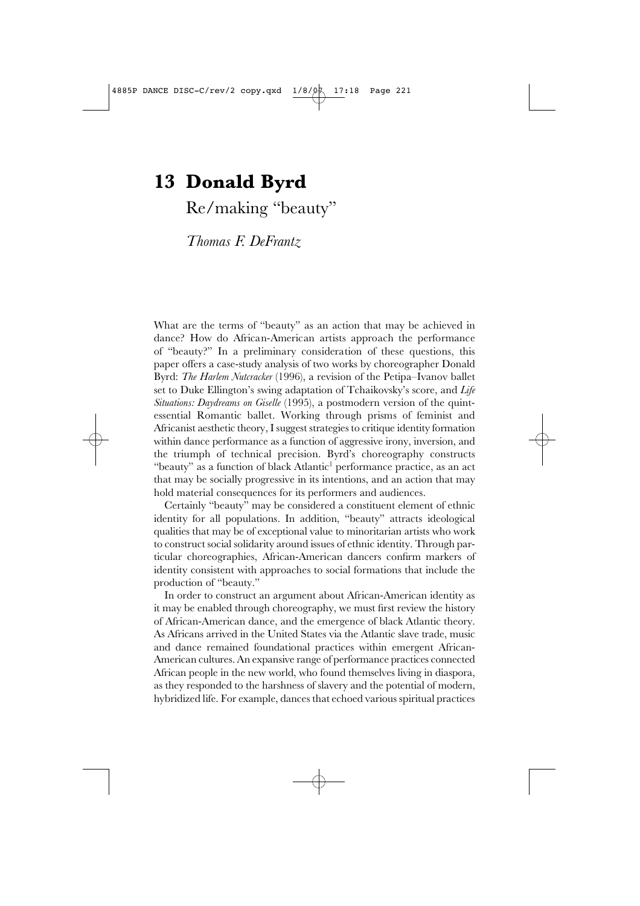Re/making "beauty"

*Thomas F. DeFrantz*

What are the terms of "beauty" as an action that may be achieved in dance? How do African-American artists approach the performance of "beauty?" In a preliminary consideration of these questions, this paper offers a case-study analysis of two works by choreographer Donald Byrd: *The Harlem Nutcracker* (1996), a revision of the Petipa–Ivanov ballet set to Duke Ellington's swing adaptation of Tchaikovsky's score, and *Life Situations: Daydreams on Giselle* (1995), a postmodern version of the quintessential Romantic ballet. Working through prisms of feminist and Africanist aesthetic theory, I suggest strategies to critique identity formation within dance performance as a function of aggressive irony, inversion, and the triumph of technical precision. Byrd's choreography constructs "beauty" as a function of black Atlantic<sup>1</sup> performance practice, as an act that may be socially progressive in its intentions, and an action that may hold material consequences for its performers and audiences.

Certainly "beauty" may be considered a constituent element of ethnic identity for all populations. In addition, "beauty" attracts ideological qualities that may be of exceptional value to minoritarian artists who work to construct social solidarity around issues of ethnic identity. Through particular choreographies, African-American dancers confirm markers of identity consistent with approaches to social formations that include the production of "beauty."

In order to construct an argument about African-American identity as it may be enabled through choreography, we must first review the history of African-American dance, and the emergence of black Atlantic theory. As Africans arrived in the United States via the Atlantic slave trade, music and dance remained foundational practices within emergent African-American cultures. An expansive range of performance practices connected African people in the new world, who found themselves living in diaspora, as they responded to the harshness of slavery and the potential of modern, hybridized life. For example, dances that echoed various spiritual practices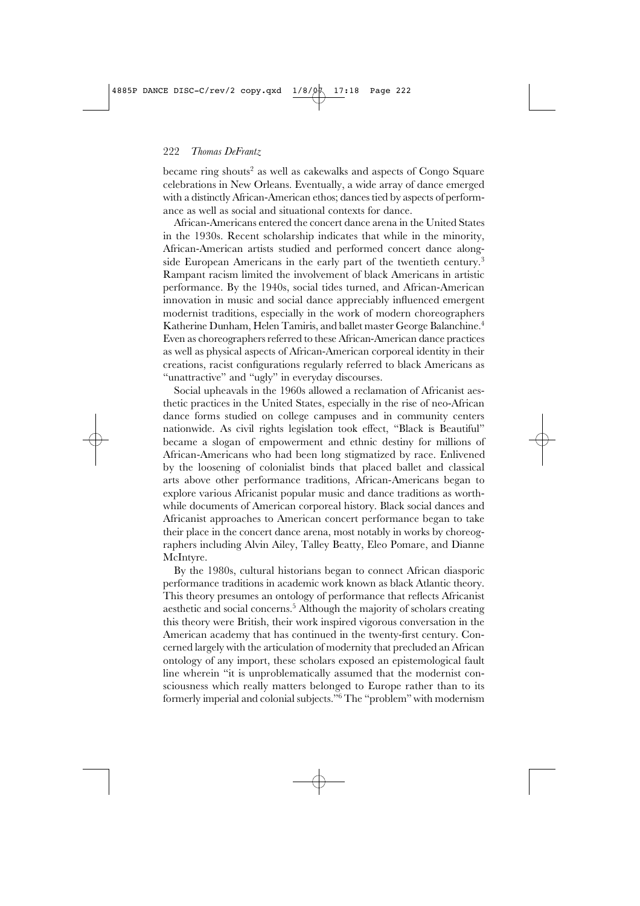became ring shouts<sup>2</sup> as well as cakewalks and aspects of Congo Square celebrations in New Orleans. Eventually, a wide array of dance emerged with a distinctly African-American ethos; dances tied by aspects of performance as well as social and situational contexts for dance.

African-Americans entered the concert dance arena in the United States in the 1930s. Recent scholarship indicates that while in the minority, African-American artists studied and performed concert dance alongside European Americans in the early part of the twentieth century.<sup>3</sup> Rampant racism limited the involvement of black Americans in artistic performance. By the 1940s, social tides turned, and African-American innovation in music and social dance appreciably influenced emergent modernist traditions, especially in the work of modern choreographers Katherine Dunham, Helen Tamiris, and ballet master George Balanchine. 4 Even as choreographers referred to these African-American dance practices as well as physical aspects of African-American corporeal identity in their creations, racist configurations regularly referred to black Americans as "unattractive" and "ugly" in everyday discourses.

Social upheavals in the 1960s allowed a reclamation of Africanist aesthetic practices in the United States, especially in the rise of neo-African dance forms studied on college campuses and in community centers nationwide. As civil rights legislation took effect, "Black is Beautiful" became a slogan of empowerment and ethnic destiny for millions of African-Americans who had been long stigmatized by race. Enlivened by the loosening of colonialist binds that placed ballet and classical arts above other performance traditions, African-Americans began to explore various Africanist popular music and dance traditions as worthwhile documents of American corporeal history. Black social dances and Africanist approaches to American concert performance began to take their place in the concert dance arena, most notably in works by choreographers including Alvin Ailey, Talley Beatty, Eleo Pomare, and Dianne McIntyre.

By the 1980s, cultural historians began to connect African diasporic performance traditions in academic work known as black Atlantic theory. This theory presumes an ontology of performance that reflects Africanist aesthetic and social concerns.5 Although the majority of scholars creating this theory were British, their work inspired vigorous conversation in the American academy that has continued in the twenty-first century. Concerned largely with the articulation of modernity that precluded an African ontology of any import, these scholars exposed an epistemological fault line wherein "it is unproblematically assumed that the modernist consciousness which really matters belonged to Europe rather than to its formerly imperial and colonial subjects."6 The "problem" with modernism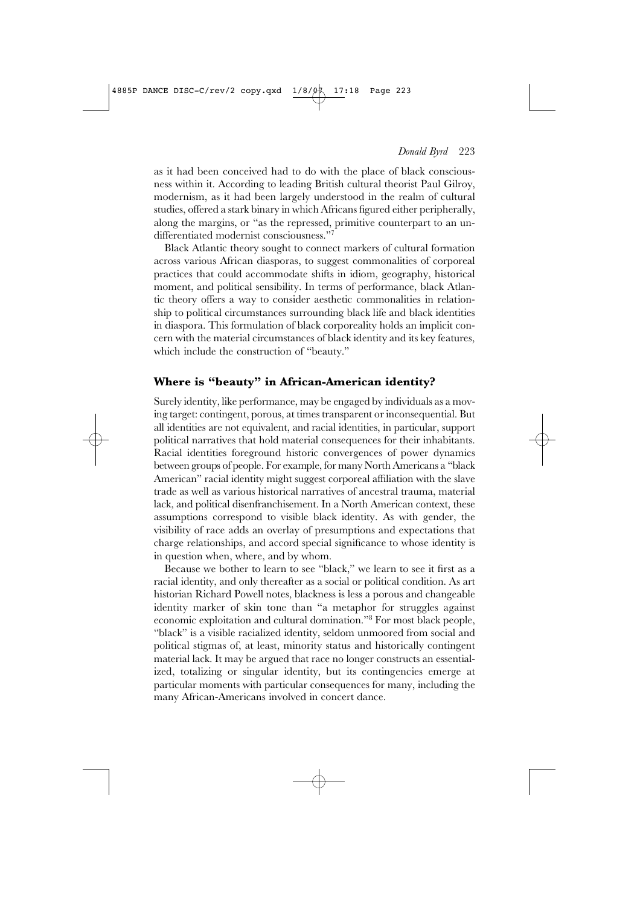as it had been conceived had to do with the place of black consciousness within it. According to leading British cultural theorist Paul Gilroy, modernism, as it had been largely understood in the realm of cultural studies, offered a stark binary in which Africans figured either peripherally, along the margins, or "as the repressed, primitive counterpart to an undifferentiated modernist consciousness."7

Black Atlantic theory sought to connect markers of cultural formation across various African diasporas, to suggest commonalities of corporeal practices that could accommodate shifts in idiom, geography, historical moment, and political sensibility. In terms of performance, black Atlantic theory offers a way to consider aesthetic commonalities in relationship to political circumstances surrounding black life and black identities in diaspora. This formulation of black corporeality holds an implicit concern with the material circumstances of black identity and its key features, which include the construction of "beauty."

# **Where is "beauty" in African-American identity?**

Surely identity, like performance, may be engaged by individuals as a moving target: contingent, porous, at times transparent or inconsequential. But all identities are not equivalent, and racial identities, in particular, support political narratives that hold material consequences for their inhabitants. Racial identities foreground historic convergences of power dynamics between groups of people. For example, for many NorthAmericans a "black American" racial identity might suggest corporeal affiliation with the slave trade as well as various historical narratives of ancestral trauma, material lack, and political disenfranchisement. In a North American context, these assumptions correspond to visible black identity. As with gender, the visibility of race adds an overlay of presumptions and expectations that charge relationships, and accord special significance to whose identity is in question when, where, and by whom.

Because we bother to learn to see "black," we learn to see it first as a racial identity, and only thereafter as a social or political condition. As art historian Richard Powell notes, blackness is less a porous and changeable identity marker of skin tone than "a metaphor for struggles against economic exploitation and cultural domination."8 For most black people, "black" is a visible racialized identity, seldom unmoored from social and political stigmas of, at least, minority status and historically contingent material lack. It may be argued that race no longer constructs an essentialized, totalizing or singular identity, but its contingencies emerge at particular moments with particular consequences for many, including the many African-Americans involved in concert dance.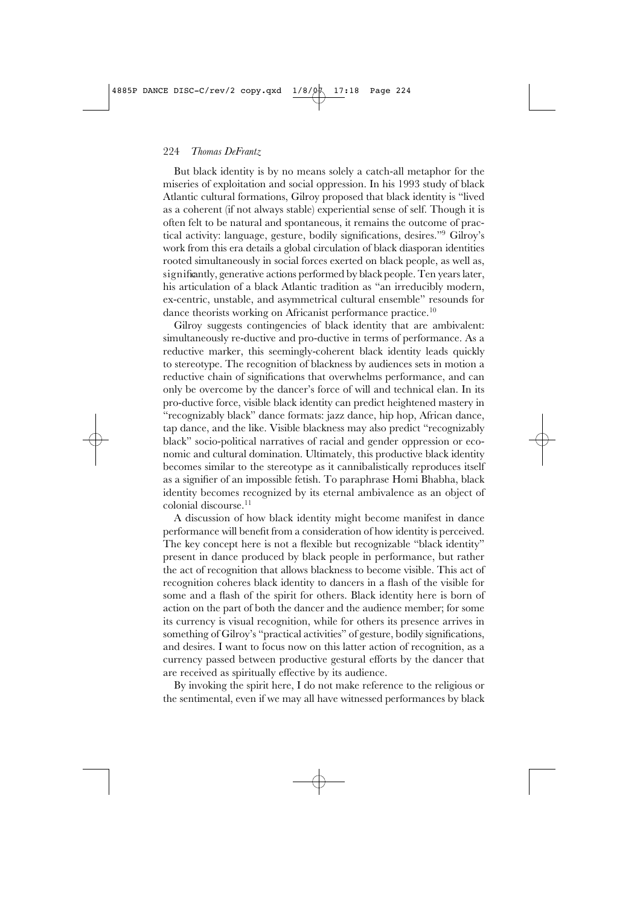But black identity is by no means solely a catch-all metaphor for the miseries of exploitation and social oppression. In his 1993 study of black Atlantic cultural formations, Gilroy proposed that black identity is "lived as a coherent (if not always stable) experiential sense of self. Though it is often felt to be natural and spontaneous, it remains the outcome of practical activity: language, gesture, bodily significations, desires."9 Gilroy's work from this era details a global circulation of black diasporan identities rooted simultaneously in social forces exerted on black people, as well as, significantly, generative actions performed by black people. Ten years later, his articulation of a black Atlantic tradition as "an irreducibly modern, ex-centric, unstable, and asymmetrical cultural ensemble" resounds for dance theorists working on Africanist performance practice.<sup>10</sup>

Gilroy suggests contingencies of black identity that are ambivalent: simultaneously re-ductive and pro-ductive in terms of performance. As a reductive marker, this seemingly-coherent black identity leads quickly to stereotype. The recognition of blackness by audiences sets in motion a reductive chain of significations that overwhelms performance, and can only be overcome by the dancer's force of will and technical elan. In its pro-ductive force, visible black identity can predict heightened mastery in "recognizably black" dance formats: jazz dance, hip hop, African dance, tap dance, and the like. Visible blackness may also predict "recognizably black" socio-political narratives of racial and gender oppression or economic and cultural domination. Ultimately, this productive black identity becomes similar to the stereotype as it cannibalistically reproduces itself as a signifier of an impossible fetish. To paraphrase Homi Bhabha, black identity becomes recognized by its eternal ambivalence as an object of colonial discourse.<sup>11</sup>

A discussion of how black identity might become manifest in dance performance will benefit from a consideration of how identity is perceived. The key concept here is not a flexible but recognizable "black identity" present in dance produced by black people in performance, but rather the act of recognition that allows blackness to become visible. This act of recognition coheres black identity to dancers in a flash of the visible for some and a flash of the spirit for others. Black identity here is born of action on the part of both the dancer and the audience member; for some its currency is visual recognition, while for others its presence arrives in something of Gilroy's "practical activities" of gesture, bodily significations, and desires. I want to focus now on this latter action of recognition, as a currency passed between productive gestural efforts by the dancer that are received as spiritually effective by its audience.

By invoking the spirit here, I do not make reference to the religious or the sentimental, even if we may all have witnessed performances by black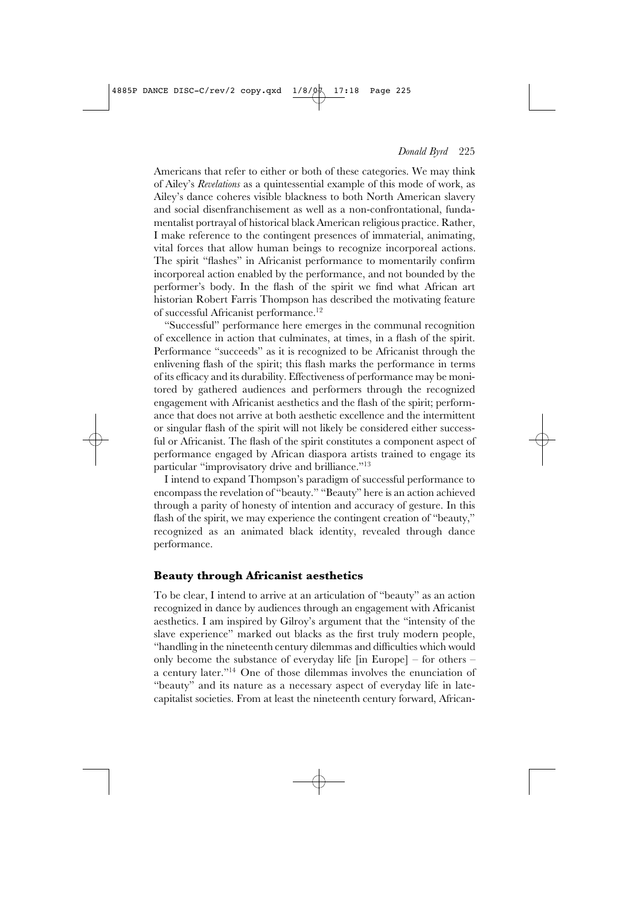Americans that refer to either or both of these categories. We may think of Ailey's *Revelations* as a quintessential example of this mode of work, as Ailey's dance coheres visible blackness to both North American slavery and social disenfranchisement as well as a non-confrontational, fundamentalist portrayal of historical black American religious practice. Rather, I make reference to the contingent presences of immaterial, animating, vital forces that allow human beings to recognize incorporeal actions. The spirit "flashes" in Africanist performance to momentarily confirm incorporeal action enabled by the performance, and not bounded by the performer's body. In the flash of the spirit we find what African art historian Robert Farris Thompson has described the motivating feature of successful Africanist performance.12

"Successful" performance here emerges in the communal recognition of excellence in action that culminates, at times, in a flash of the spirit. Performance "succeeds" as it is recognized to be Africanist through the enlivening flash of the spirit; this flash marks the performance in terms of its efficacy and its durability. Effectiveness of performance may be monitored by gathered audiences and performers through the recognized engagement with Africanist aesthetics and the flash of the spirit; performance that does not arrive at both aesthetic excellence and the intermittent or singular flash of the spirit will not likely be considered either successful or Africanist. The flash of the spirit constitutes a component aspect of performance engaged by African diaspora artists trained to engage its particular "improvisatory drive and brilliance."<sup>13</sup>

I intend to expand Thompson's paradigm of successful performance to encompass the revelation of "beauty." "Beauty" here is an action achieved through a parity of honesty of intention and accuracy of gesture. In this flash of the spirit, we may experience the contingent creation of "beauty," recognized as an animated black identity, revealed through dance performance.

## **Beauty through Africanist aesthetics**

To be clear, I intend to arrive at an articulation of "beauty" as an action recognized in dance by audiences through an engagement with Africanist aesthetics. I am inspired by Gilroy's argument that the "intensity of the slave experience" marked out blacks as the first truly modern people, "handling in the nineteenth century dilemmas and difficulties which would only become the substance of everyday life [in Europe] – for others – a century later."14 One of those dilemmas involves the enunciation of "beauty" and its nature as a necessary aspect of everyday life in latecapitalist societies. From at least the nineteenth century forward, African-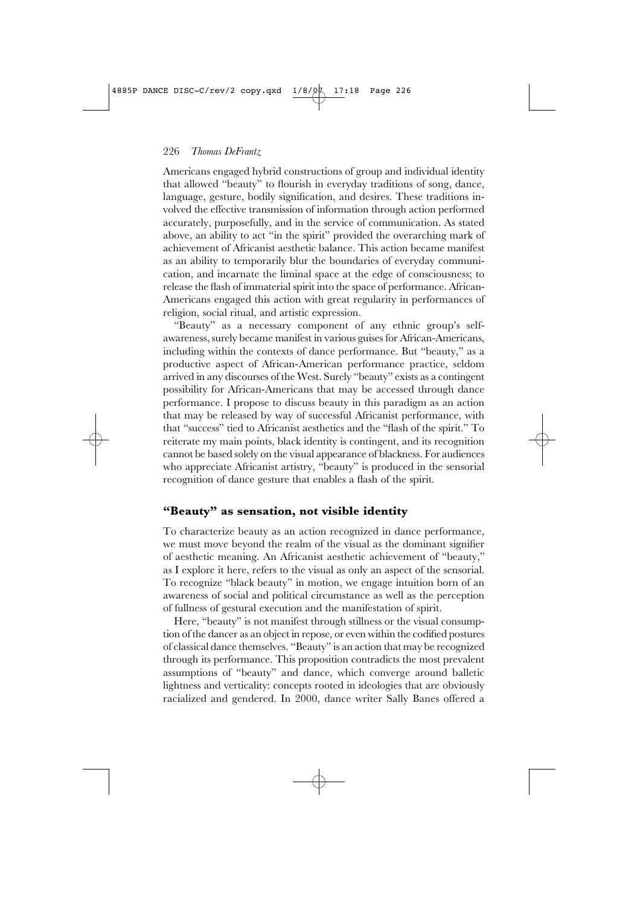Americans engaged hybrid constructions of group and individual identity that allowed "beauty" to flourish in everyday traditions of song, dance, language, gesture, bodily signification, and desires. These traditions involved the effective transmission of information through action performed accurately, purposefully, and in the service of communication. As stated above, an ability to act "in the spirit" provided the overarching mark of achievement of Africanist aesthetic balance. This action became manifest as an ability to temporarily blur the boundaries of everyday communication, and incarnate the liminal space at the edge of consciousness; to release the flash of immaterial spirit into the space of performance. African-Americans engaged this action with great regularity in performances of religion, social ritual, and artistic expression.

"Beauty" as a necessary component of any ethnic group's selfawareness, surely became manifest in various guises for African-Americans, including within the contexts of dance performance. But "beauty," as a productive aspect of African-American performance practice, seldom arrived in any discourses of the West. Surely "beauty" exists as a contingent possibility for African-Americans that may be accessed through dance performance. I propose to discuss beauty in this paradigm as an action that may be released by way of successful Africanist performance, with that "success" tied to Africanist aesthetics and the "flash of the spirit." To reiterate my main points, black identity is contingent, and its recognition cannot be based solely on the visual appearance of blackness. For audiences who appreciate Africanist artistry, "beauty" is produced in the sensorial recognition of dance gesture that enables a flash of the spirit.

## **"Beauty" as sensation, not visible identity**

To characterize beauty as an action recognized in dance performance, we must move beyond the realm of the visual as the dominant signifier of aesthetic meaning. An Africanist aesthetic achievement of "beauty," as I explore it here, refers to the visual as only an aspect of the sensorial. To recognize "black beauty" in motion, we engage intuition born of an awareness of social and political circumstance as well as the perception of fullness of gestural execution and the manifestation of spirit.

Here, "beauty" is not manifest through stillness or the visual consumption of the dancer as an object in repose, or even within the codified postures of classical dance themselves. "Beauty" is an action that may be recognized through its performance. This proposition contradicts the most prevalent assumptions of "beauty" and dance, which converge around balletic lightness and verticality: concepts rooted in ideologies that are obviously racialized and gendered. In 2000, dance writer Sally Banes offered a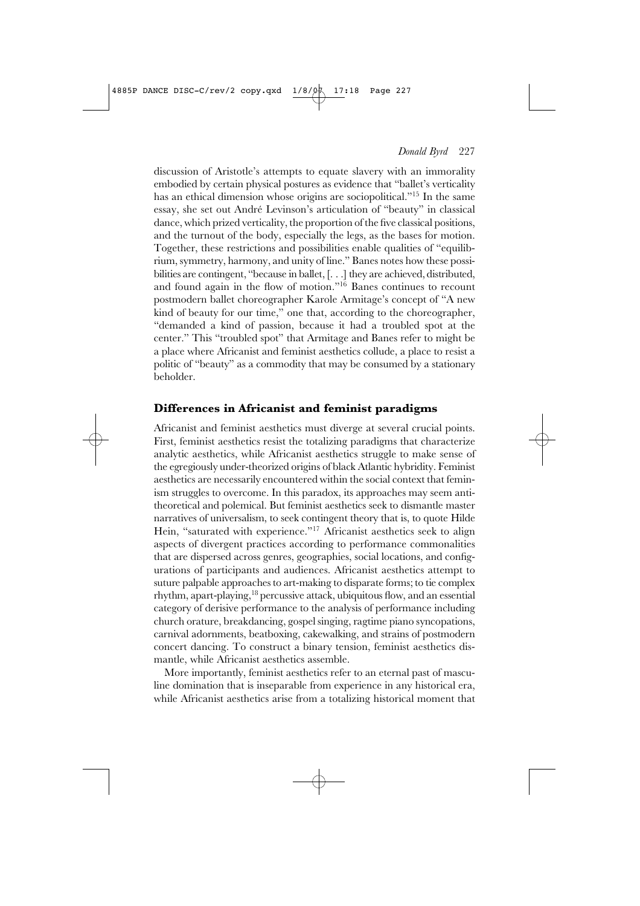discussion of Aristotle's attempts to equate slavery with an immorality embodied by certain physical postures as evidence that "ballet's verticality has an ethical dimension whose origins are sociopolitical."15 In the same essay, she set out André Levinson's articulation of "beauty" in classical dance, which prized verticality, the proportion of the five classical positions, and the turnout of the body, especially the legs, as the bases for motion. Together, these restrictions and possibilities enable qualities of "equilibrium, symmetry, harmony, and unity of line." Banes notes how these possibilities are contingent, "because in ballet,[. . .] they are achieved, distributed, and found again in the flow of motion."16 Banes continues to recount postmodern ballet choreographer Karole Armitage's concept of "A new kind of beauty for our time," one that, according to the choreographer, "demanded a kind of passion, because it had a troubled spot at the center." This "troubled spot" that Armitage and Banes refer to might be a place where Africanist and feminist aesthetics collude, a place to resist a politic of "beauty" as a commodity that may be consumed by a stationary beholder.

#### **Differences in Africanist and feminist paradigms**

Africanist and feminist aesthetics must diverge at several crucial points. First, feminist aesthetics resist the totalizing paradigms that characterize analytic aesthetics, while Africanist aesthetics struggle to make sense of the egregiously under-theorized origins of black Atlantic hybridity. Feminist aesthetics are necessarily encountered within the social context that feminism struggles to overcome. In this paradox, its approaches may seem antitheoretical and polemical. But feminist aesthetics seek to dismantle master narratives of universalism, to seek contingent theory that is, to quote Hilde Hein, "saturated with experience."<sup>17</sup> Africanist aesthetics seek to align aspects of divergent practices according to performance commonalities that are dispersed across genres, geographies, social locations, and configurations of participants and audiences. Africanist aesthetics attempt to suture palpable approaches to art-making to disparate forms; to tie complex rhythm, apart-playing, $18$  percussive attack, ubiquitous flow, and an essential category of derisive performance to the analysis of performance including church orature, breakdancing, gospel singing, ragtime piano syncopations, carnival adornments, beatboxing, cakewalking, and strains of postmodern concert dancing. To construct a binary tension, feminist aesthetics dismantle, while Africanist aesthetics assemble.

More importantly, feminist aesthetics refer to an eternal past of masculine domination that is inseparable from experience in any historical era, while Africanist aesthetics arise from a totalizing historical moment that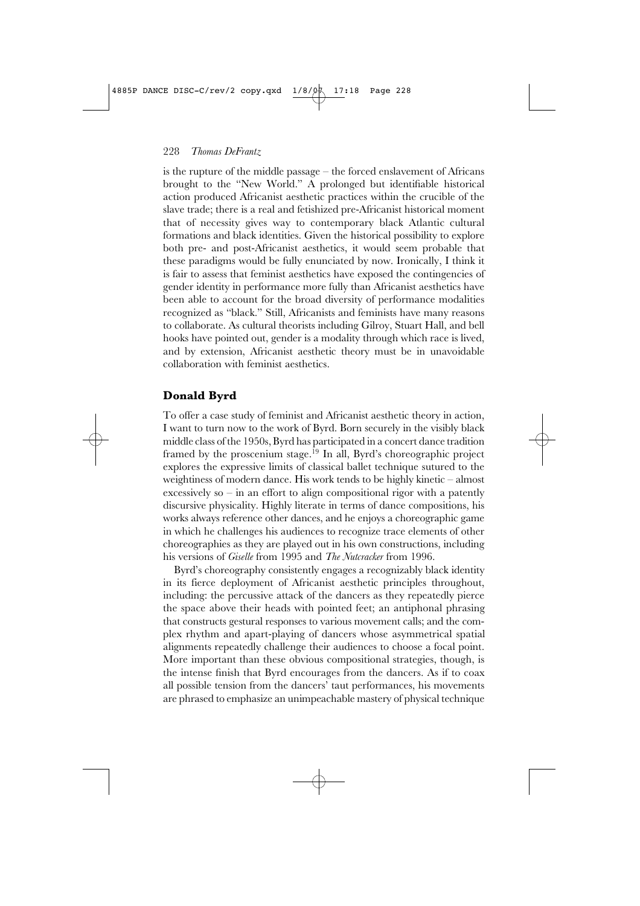is the rupture of the middle passage – the forced enslavement of Africans brought to the "New World." A prolonged but identifiable historical action produced Africanist aesthetic practices within the crucible of the slave trade; there is a real and fetishized pre-Africanist historical moment that of necessity gives way to contemporary black Atlantic cultural formations and black identities. Given the historical possibility to explore both pre- and post-Africanist aesthetics, it would seem probable that these paradigms would be fully enunciated by now. Ironically, I think it is fair to assess that feminist aesthetics have exposed the contingencies of gender identity in performance more fully than Africanist aesthetics have been able to account for the broad diversity of performance modalities recognized as "black." Still, Africanists and feminists have many reasons to collaborate. As cultural theorists including Gilroy, Stuart Hall, and bell hooks have pointed out, gender is a modality through which race is lived, and by extension, Africanist aesthetic theory must be in unavoidable collaboration with feminist aesthetics.

#### **Donald Byrd**

To offer a case study of feminist and Africanist aesthetic theory in action, I want to turn now to the work of Byrd. Born securely in the visibly black middle class of the 1950s, Byrd has participated in a concert dance tradition framed by the proscenium stage.19 In all, Byrd's choreographic project explores the expressive limits of classical ballet technique sutured to the weightiness of modern dance. His work tends to be highly kinetic – almost excessively so – in an effort to align compositional rigor with a patently discursive physicality. Highly literate in terms of dance compositions, his works always reference other dances, and he enjoys a choreographic game in which he challenges his audiences to recognize trace elements of other choreographies as they are played out in his own constructions, including his versions of *Giselle* from 1995 and *The Nutcracker* from 1996.

Byrd's choreography consistently engages a recognizably black identity in its fierce deployment of Africanist aesthetic principles throughout, including: the percussive attack of the dancers as they repeatedly pierce the space above their heads with pointed feet; an antiphonal phrasing that constructs gestural responses to various movement calls; and the complex rhythm and apart-playing of dancers whose asymmetrical spatial alignments repeatedly challenge their audiences to choose a focal point. More important than these obvious compositional strategies, though, is the intense finish that Byrd encourages from the dancers. As if to coax all possible tension from the dancers' taut performances, his movements are phrased to emphasize an unimpeachable mastery of physical technique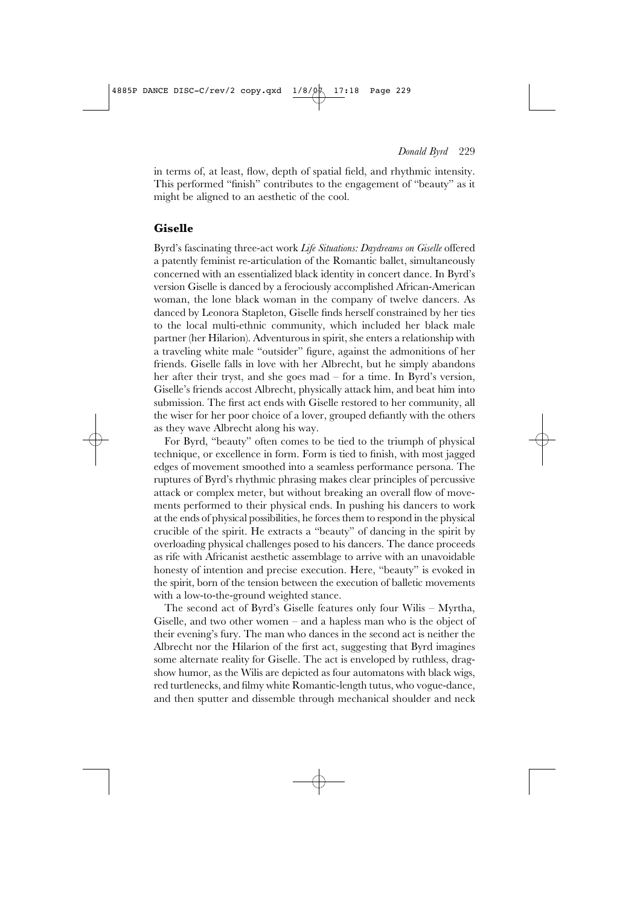in terms of, at least, flow, depth of spatial field, and rhythmic intensity. This performed "finish" contributes to the engagement of "beauty" as it might be aligned to an aesthetic of the cool.

# **Giselle**

Byrd's fascinating three-act work *Life Situations: Daydreams on Giselle* offered a patently feminist re-articulation of the Romantic ballet, simultaneously concerned with an essentialized black identity in concert dance. In Byrd's version Giselle is danced by a ferociously accomplished African-American woman, the lone black woman in the company of twelve dancers. As danced by Leonora Stapleton, Giselle finds herself constrained by her ties to the local multi-ethnic community, which included her black male partner (her Hilarion). Adventurous in spirit, she enters a relationship with a traveling white male "outsider" figure, against the admonitions of her friends. Giselle falls in love with her Albrecht, but he simply abandons her after their tryst, and she goes mad – for a time. In Byrd's version, Giselle's friends accost Albrecht, physically attack him, and beat him into submission. The first act ends with Giselle restored to her community, all the wiser for her poor choice of a lover, grouped defiantly with the others as they wave Albrecht along his way.

For Byrd, "beauty" often comes to be tied to the triumph of physical technique, or excellence in form. Form is tied to finish, with most jagged edges of movement smoothed into a seamless performance persona. The ruptures of Byrd's rhythmic phrasing makes clear principles of percussive attack or complex meter, but without breaking an overall flow of movements performed to their physical ends. In pushing his dancers to work at the ends of physical possibilities, he forces them to respond in the physical crucible of the spirit. He extracts a "beauty" of dancing in the spirit by overloading physical challenges posed to his dancers. The dance proceeds as rife with Africanist aesthetic assemblage to arrive with an unavoidable honesty of intention and precise execution. Here, "beauty" is evoked in the spirit, born of the tension between the execution of balletic movements with a low-to-the-ground weighted stance.

The second act of Byrd's Giselle features only four Wilis – Myrtha, Giselle, and two other women – and a hapless man who is the object of their evening's fury. The man who dances in the second act is neither the Albrecht nor the Hilarion of the first act, suggesting that Byrd imagines some alternate reality for Giselle. The act is enveloped by ruthless, dragshow humor, as the Wilis are depicted as four automatons with black wigs, red turtlenecks, and filmy white Romantic-length tutus, who vogue-dance, and then sputter and dissemble through mechanical shoulder and neck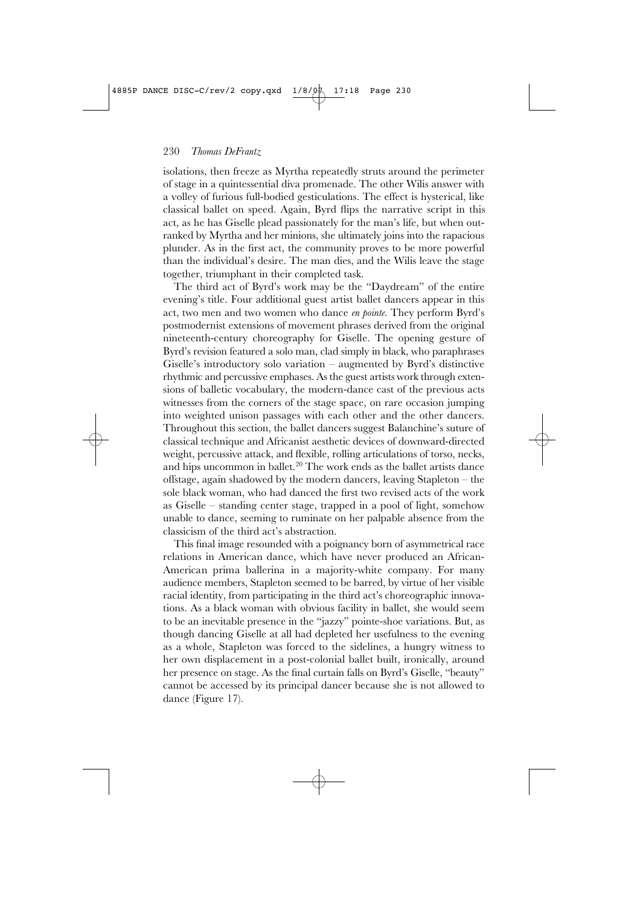isolations, then freeze as Myrtha repeatedly struts around the perimeter of stage in a quintessential diva promenade. The other Wilis answer with a volley of furious full-bodied gesticulations. The effect is hysterical, like classical ballet on speed. Again, Byrd flips the narrative script in this act, as he has Giselle plead passionately for the man's life, but when outranked by Myrtha and her minions, she ultimately joins into the rapacious plunder. As in the first act, the community proves to be more powerful than the individual's desire. The man dies, and the Wilis leave the stage together, triumphant in their completed task.

The third act of Byrd's work may be the "Daydream" of the entire evening's title. Four additional guest artist ballet dancers appear in this act, two men and two women who dance *en pointe*. They perform Byrd's postmodernist extensions of movement phrases derived from the original nineteenth-century choreography for Giselle. The opening gesture of Byrd's revision featured a solo man, clad simply in black, who paraphrases Giselle's introductory solo variation – augmented by Byrd's distinctive rhythmic and percussive emphases. As the guest artists work through extensions of balletic vocabulary, the modern-dance cast of the previous acts witnesses from the corners of the stage space, on rare occasion jumping into weighted unison passages with each other and the other dancers. Throughout this section, the ballet dancers suggest Balanchine's suture of classical technique and Africanist aesthetic devices of downward-directed weight, percussive attack, and flexible, rolling articulations of torso, necks, and hips uncommon in ballet.20 The work ends as the ballet artists dance offstage, again shadowed by the modern dancers, leaving Stapleton – the sole black woman, who had danced the first two revised acts of the work as Giselle – standing center stage, trapped in a pool of light, somehow unable to dance, seeming to ruminate on her palpable absence from the classicism of the third act's abstraction.

This final image resounded with a poignancy born of asymmetrical race relations in American dance, which have never produced an African-American prima ballerina in a majority-white company. For many audience members, Stapleton seemed to be barred, by virtue of her visible racial identity, from participating in the third act's choreographic innovations. As a black woman with obvious facility in ballet, she would seem to be an inevitable presence in the "jazzy" pointe-shoe variations. But, as though dancing Giselle at all had depleted her usefulness to the evening as a whole, Stapleton was forced to the sidelines, a hungry witness to her own displacement in a post-colonial ballet built, ironically, around her presence on stage. As the final curtain falls on Byrd's Giselle, "beauty" cannot be accessed by its principal dancer because she is not allowed to dance (Figure 17).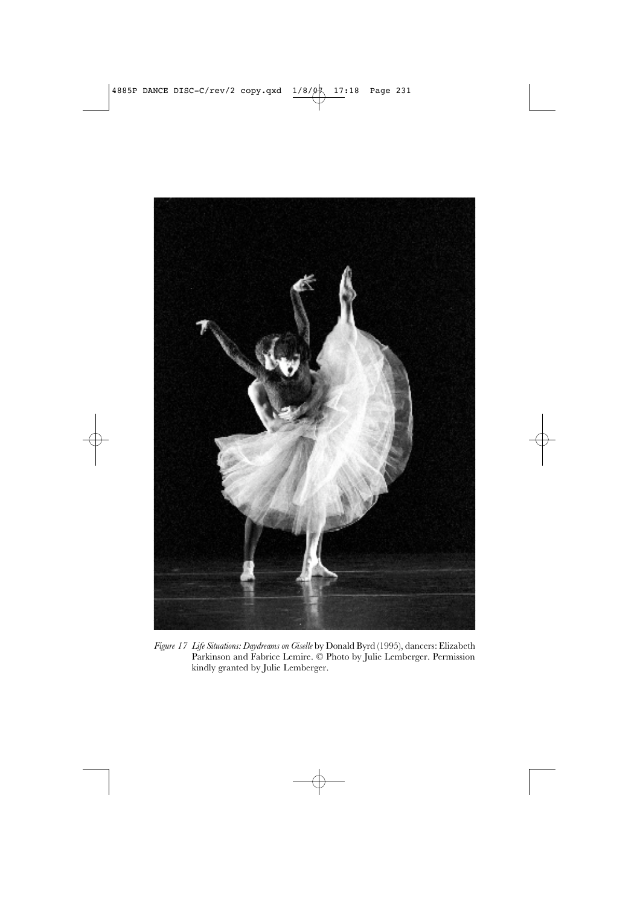

*Figure 17 Life Situations: Daydreams on Giselle* by Donald Byrd (1995), dancers: Elizabeth Parkinson and Fabrice Lemire. © Photo by Julie Lemberger. Permission kindly granted by Julie Lemberger.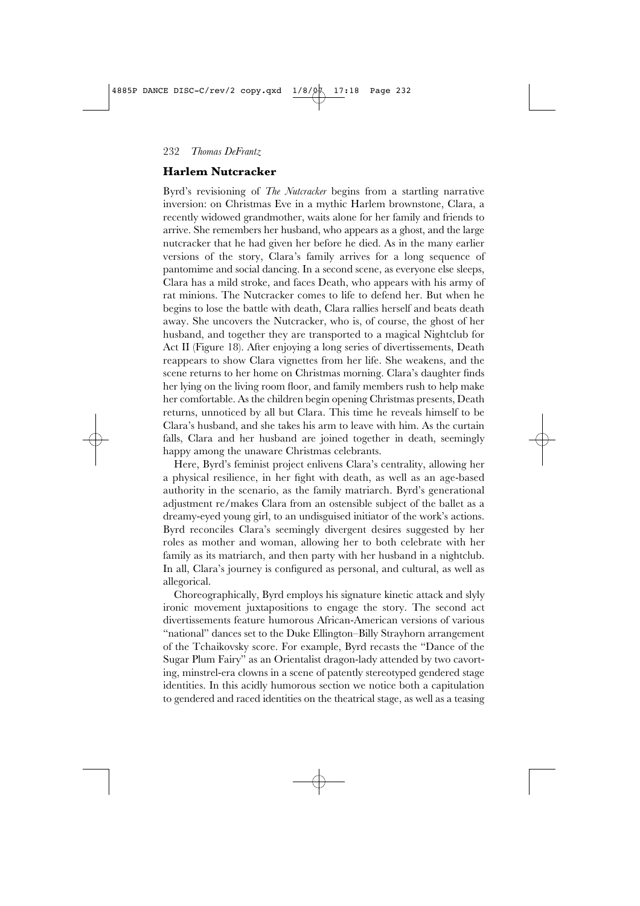## **Harlem Nutcracker**

Byrd's revisioning of *The Nutcracker* begins from a startling narrative inversion: on Christmas Eve in a mythic Harlem brownstone, Clara, a recently widowed grandmother, waits alone for her family and friends to arrive. She remembers her husband, who appears as a ghost, and the large nutcracker that he had given her before he died. As in the many earlier versions of the story, Clara's family arrives for a long sequence of pantomime and social dancing. In a second scene, as everyone else sleeps, Clara has a mild stroke, and faces Death, who appears with his army of rat minions. The Nutcracker comes to life to defend her. But when he begins to lose the battle with death, Clara rallies herself and beats death away. She uncovers the Nutcracker, who is, of course, the ghost of her husband, and together they are transported to a magical Nightclub for Act II (Figure 18). After enjoying a long series of divertissements, Death reappears to show Clara vignettes from her life. She weakens, and the scene returns to her home on Christmas morning. Clara's daughter finds her lying on the living room floor, and family members rush to help make her comfortable. As the children begin opening Christmas presents, Death returns, unnoticed by all but Clara. This time he reveals himself to be Clara's husband, and she takes his arm to leave with him. As the curtain falls, Clara and her husband are joined together in death, seemingly happy among the unaware Christmas celebrants.

Here, Byrd's feminist project enlivens Clara's centrality, allowing her a physical resilience, in her fight with death, as well as an age-based authority in the scenario, as the family matriarch. Byrd's generational adjustment re/makes Clara from an ostensible subject of the ballet as a dreamy-eyed young girl, to an undisguised initiator of the work's actions. Byrd reconciles Clara's seemingly divergent desires suggested by her roles as mother and woman, allowing her to both celebrate with her family as its matriarch, and then party with her husband in a nightclub. In all, Clara's journey is configured as personal, and cultural, as well as allegorical.

Choreographically, Byrd employs his signature kinetic attack and slyly ironic movement juxtapositions to engage the story. The second act divertissements feature humorous African-American versions of various "national" dances set to the Duke Ellington–Billy Strayhorn arrangement of the Tchaikovsky score. For example, Byrd recasts the "Dance of the Sugar Plum Fairy" as an Orientalist dragon-lady attended by two cavorting, minstrel-era clowns in a scene of patently stereotyped gendered stage identities. In this acidly humorous section we notice both a capitulation to gendered and raced identities on the theatrical stage, as well as a teasing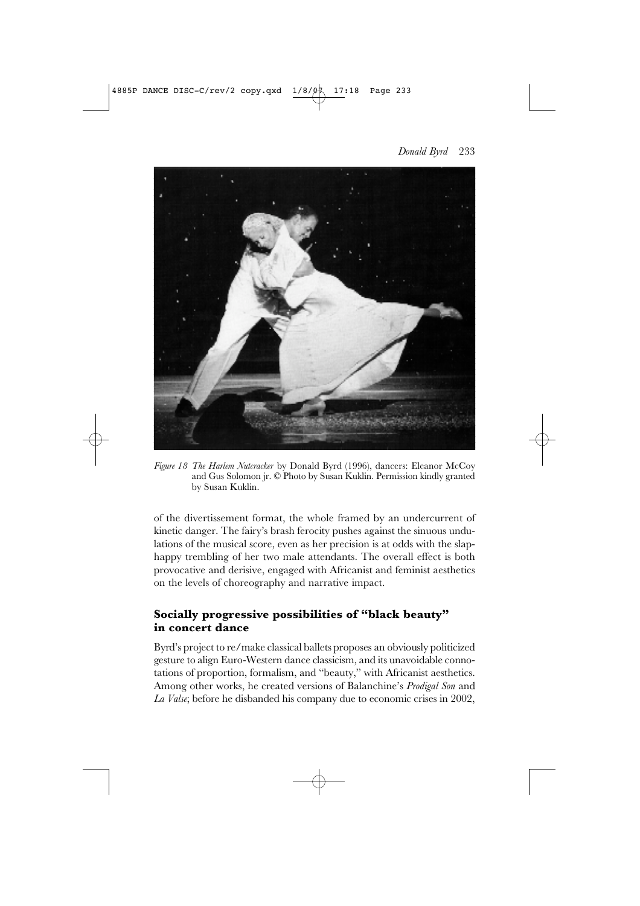



*Figure 18 The Harlem Nutcracker* by Donald Byrd (1996), dancers: Eleanor McCoy and Gus Solomon jr. © Photo by Susan Kuklin. Permission kindly granted by Susan Kuklin.

of the divertissement format, the whole framed by an undercurrent of kinetic danger. The fairy's brash ferocity pushes against the sinuous undulations of the musical score, even as her precision is at odds with the slaphappy trembling of her two male attendants. The overall effect is both provocative and derisive, engaged with Africanist and feminist aesthetics on the levels of choreography and narrative impact.

# **Socially progressive possibilities of "black beauty" in concert dance**

Byrd's project to re/make classical ballets proposes an obviously politicized gesture to align Euro-Western dance classicism, and its unavoidable connotations of proportion, formalism, and "beauty," with Africanist aesthetics. Among other works, he created versions of Balanchine's *Prodigal Son* and *La Valse*; before he disbanded his company due to economic crises in 2002,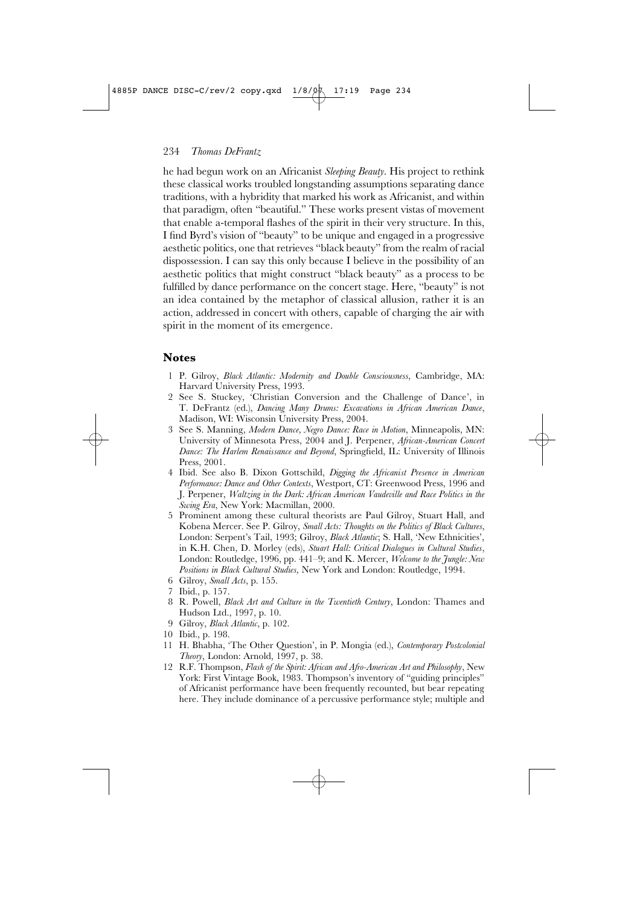he had begun work on an Africanist *Sleeping Beauty.* His project to rethink these classical works troubled longstanding assumptions separating dance traditions, with a hybridity that marked his work as Africanist, and within that paradigm, often "beautiful." These works present vistas of movement that enable a-temporal flashes of the spirit in their very structure. In this, I find Byrd's vision of "beauty" to be unique and engaged in a progressive aesthetic politics, one that retrieves "black beauty" from the realm of racial dispossession. I can say this only because I believe in the possibility of an aesthetic politics that might construct "black beauty" as a process to be fulfilled by dance performance on the concert stage. Here, "beauty" is not an idea contained by the metaphor of classical allusion, rather it is an action, addressed in concert with others, capable of charging the air with spirit in the moment of its emergence.

## **Notes**

- 1 P. Gilroy, *Black Atlantic: Modernity and Double Consciousness*, Cambridge, MA: Harvard University Press, 1993.
- 2 See S. Stuckey, 'Christian Conversion and the Challenge of Dance', in T. DeFrantz (ed.), *Dancing Many Drums: Excavations in African American Dance*, Madison, WI: Wisconsin University Press, 2004.
- 3 See S. Manning, *Modern Dance, Negro Dance: Race in Motion*, Minneapolis, MN: University of Minnesota Press, 2004 and J. Perpener, *African-American Concert Dance: The Harlem Renaissance and Beyond*, Springfield, IL: University of Illinois Press, 2001.
- 4 Ibid. See also B. Dixon Gottschild, *Digging the Africanist Presence in American Performance: Dance and Other Contexts*, Westport, CT: Greenwood Press, 1996 and J. Perpener, *Waltzing in the Dark: African American Vaudeville and Race Politics in the Swing Era*, New York: Macmillan, 2000.
- 5 Prominent among these cultural theorists are Paul Gilroy, Stuart Hall, and Kobena Mercer. See P. Gilroy, *Small Acts: Thoughts on the Politics of Black Cultures*, London: Serpent's Tail, 1993; Gilroy, *Black Atlantic*; S. Hall, 'New Ethnicities', in K.H. Chen*,* D. Morley (eds), *Stuart Hall: Critical Dialogues in Cultural Studies*, London: Routledge, 1996, pp. 441–9; and K. Mercer, *Welcome to the Jungle: New Positions in Black Cultural Studies,* New York and London: Routledge, 1994.
- 6 Gilroy, *Small Acts*, p. 155.
- 7 Ibid., p. 157.
- 8 R. Powell, *Black Art and Culture in the Twentieth Century*, London: Thames and Hudson Ltd., 1997, p. 10.
- 9 Gilroy, *Black Atlantic*, p. 102.
- 10 Ibid., p. 198.
- 11 H. Bhabha, 'The Other Question', in P. Mongia (ed.), *Contemporary Postcolonial Theory*, London: Arnold, 1997, p. 38.
- 12 R.F. Thompson, *Flash of the Spirit: African and Afro-American Art and Philosophy*, New York: First Vintage Book, 1983. Thompson's inventory of "guiding principles" of Africanist performance have been frequently recounted, but bear repeating here. They include dominance of a percussive performance style; multiple and